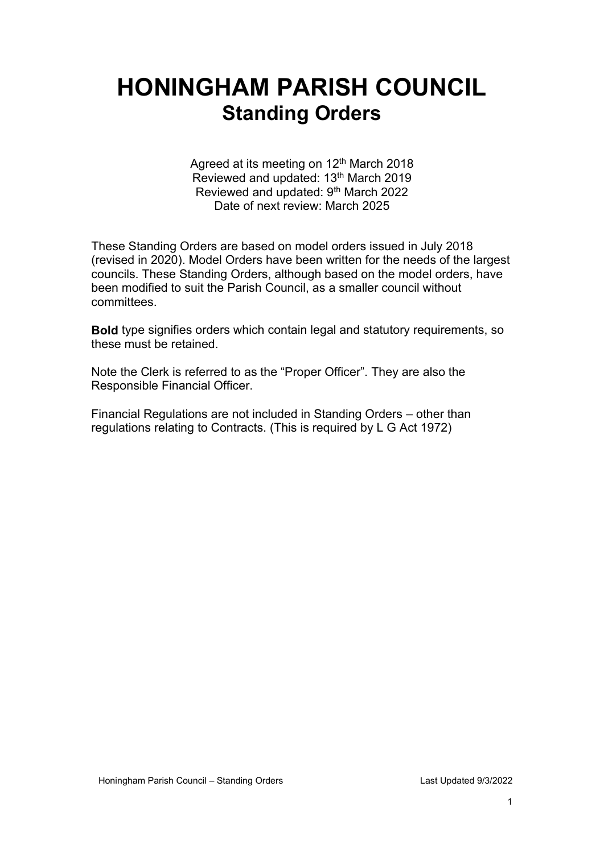# **HONINGHAM PARISH COUNCIL Standing Orders**

Agreed at its meeting on 12<sup>th</sup> March 2018 Reviewed and updated: 13<sup>th</sup> March 2019 Reviewed and updated: 9<sup>th</sup> March 2022 Date of next review: March 2025

These Standing Orders are based on model orders issued in July 2018 (revised in 2020). Model Orders have been written for the needs of the largest councils. These Standing Orders, although based on the model orders, have been modified to suit the Parish Council, as a smaller council without committees.

**Bold** type signifies orders which contain legal and statutory requirements, so these must be retained.

Note the Clerk is referred to as the "Proper Officer". They are also the Responsible Financial Officer.

Financial Regulations are not included in Standing Orders – other than regulations relating to Contracts. (This is required by L G Act 1972)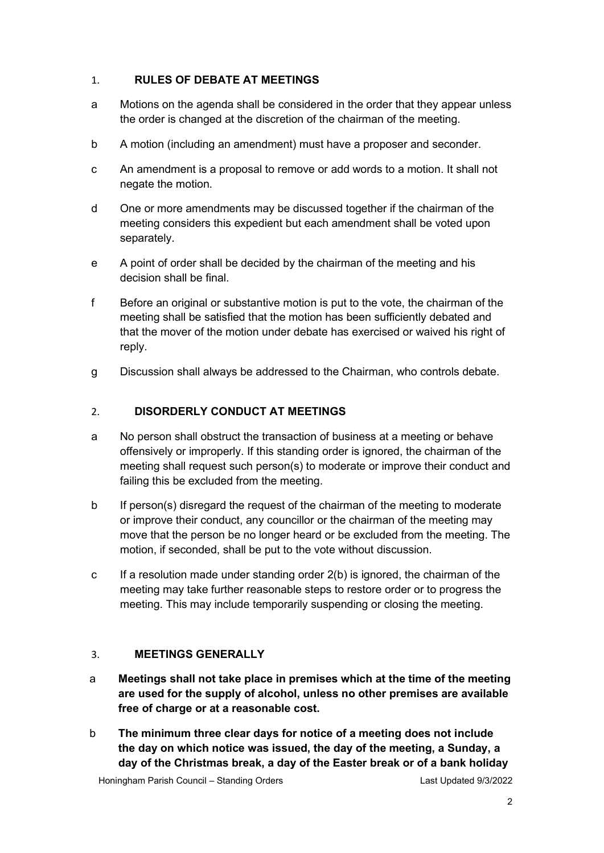## 1. **RULES OF DEBATE AT MEETINGS**

- a Motions on the agenda shall be considered in the order that they appear unless the order is changed at the discretion of the chairman of the meeting.
- b A motion (including an amendment) must have a proposer and seconder.
- c An amendment is a proposal to remove or add words to a motion. It shall not negate the motion.
- d One or more amendments may be discussed together if the chairman of the meeting considers this expedient but each amendment shall be voted upon separately.
- e A point of order shall be decided by the chairman of the meeting and his decision shall be final.
- f Before an original or substantive motion is put to the vote, the chairman of the meeting shall be satisfied that the motion has been sufficiently debated and that the mover of the motion under debate has exercised or waived his right of reply.
- g Discussion shall always be addressed to the Chairman, who controls debate.

## 2. **DISORDERLY CONDUCT AT MEETINGS**

- a No person shall obstruct the transaction of business at a meeting or behave offensively or improperly. If this standing order is ignored, the chairman of the meeting shall request such person(s) to moderate or improve their conduct and failing this be excluded from the meeting.
- b If person(s) disregard the request of the chairman of the meeting to moderate or improve their conduct, any councillor or the chairman of the meeting may move that the person be no longer heard or be excluded from the meeting. The motion, if seconded, shall be put to the vote without discussion.
- c If a resolution made under standing order 2(b) is ignored, the chairman of the meeting may take further reasonable steps to restore order or to progress the meeting. This may include temporarily suspending or closing the meeting.

## 3. **MEETINGS GENERALLY**

- a **Meetings shall not take place in premises which at the time of the meeting are used for the supply of alcohol, unless no other premises are available free of charge or at a reasonable cost.**
- b **The minimum three clear days for notice of a meeting does not include the day on which notice was issued, the day of the meeting, a Sunday, a day of the Christmas break, a day of the Easter break or of a bank holiday**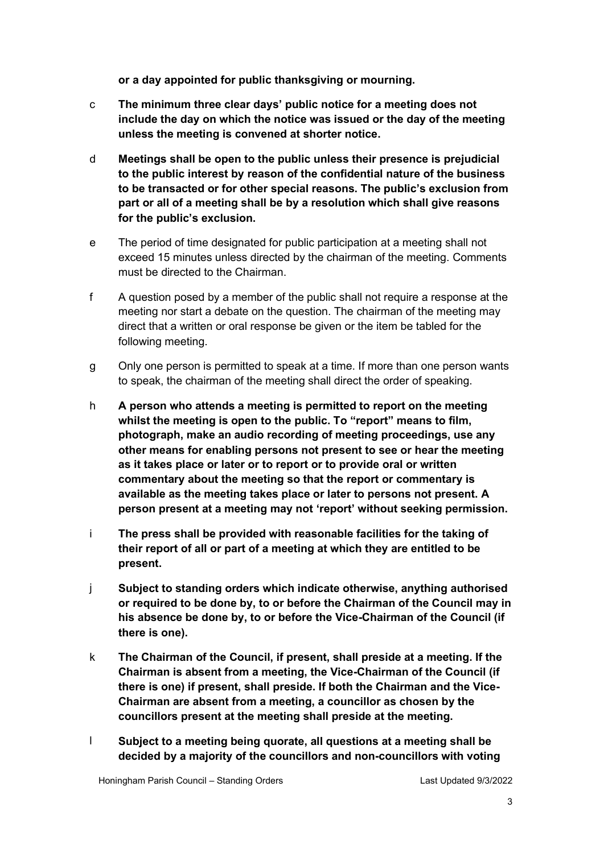**or a day appointed for public thanksgiving or mourning.**

- c **The minimum three clear days' public notice for a meeting does not include the day on which the notice was issued or the day of the meeting unless the meeting is convened at shorter notice.**
- d **Meetings shall be open to the public unless their presence is prejudicial to the public interest by reason of the confidential nature of the business to be transacted or for other special reasons. The public's exclusion from part or all of a meeting shall be by a resolution which shall give reasons for the public's exclusion.**
- e The period of time designated for public participation at a meeting shall not exceed 15 minutes unless directed by the chairman of the meeting. Comments must be directed to the Chairman.
- f A question posed by a member of the public shall not require a response at the meeting nor start a debate on the question. The chairman of the meeting may direct that a written or oral response be given or the item be tabled for the following meeting.
- g Only one person is permitted to speak at a time. If more than one person wants to speak, the chairman of the meeting shall direct the order of speaking.
- h **A person who attends a meeting is permitted to report on the meeting whilst the meeting is open to the public. To "report" means to film, photograph, make an audio recording of meeting proceedings, use any other means for enabling persons not present to see or hear the meeting as it takes place or later or to report or to provide oral or written commentary about the meeting so that the report or commentary is available as the meeting takes place or later to persons not present. A person present at a meeting may not 'report' without seeking permission.**
- i **The press shall be provided with reasonable facilities for the taking of their report of all or part of a meeting at which they are entitled to be present.**
- j **Subject to standing orders which indicate otherwise, anything authorised or required to be done by, to or before the Chairman of the Council may in his absence be done by, to or before the Vice-Chairman of the Council (if there is one).**
- k **The Chairman of the Council, if present, shall preside at a meeting. If the Chairman is absent from a meeting, the Vice-Chairman of the Council (if there is one) if present, shall preside. If both the Chairman and the Vice-Chairman are absent from a meeting, a councillor as chosen by the councillors present at the meeting shall preside at the meeting.**
- l **Subject to a meeting being quorate, all questions at a meeting shall be decided by a majority of the councillors and non-councillors with voting**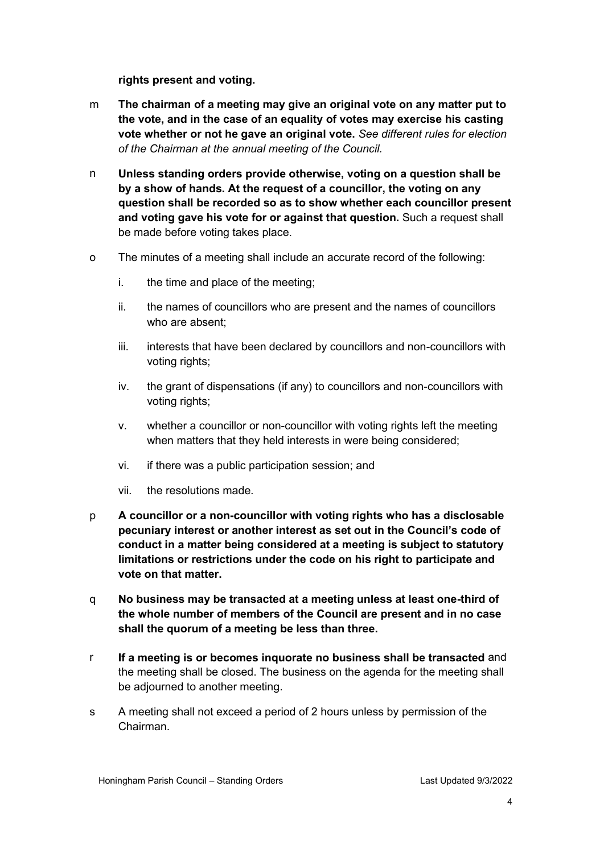**rights present and voting.**

- m **The chairman of a meeting may give an original vote on any matter put to the vote, and in the case of an equality of votes may exercise his casting vote whether or not he gave an original vote.** *See different rules for election of the Chairman at the annual meeting of the Council.*
- n **Unless standing orders provide otherwise, voting on a question shall be by a show of hands. At the request of a councillor, the voting on any question shall be recorded so as to show whether each councillor present and voting gave his vote for or against that question.** Such a request shall be made before voting takes place.
- o The minutes of a meeting shall include an accurate record of the following:
	- i. the time and place of the meeting;
	- ii. the names of councillors who are present and the names of councillors who are absent;
	- iii. interests that have been declared by councillors and non-councillors with voting rights;
	- iv. the grant of dispensations (if any) to councillors and non-councillors with voting rights;
	- v. whether a councillor or non-councillor with voting rights left the meeting when matters that they held interests in were being considered;
	- vi. if there was a public participation session; and
	- vii. the resolutions made.
- p **A councillor or a non-councillor with voting rights who has a disclosable pecuniary interest or another interest as set out in the Council's code of conduct in a matter being considered at a meeting is subject to statutory limitations or restrictions under the code on his right to participate and vote on that matter.**
- q **No business may be transacted at a meeting unless at least one-third of the whole number of members of the Council are present and in no case shall the quorum of a meeting be less than three.**
- r **If a meeting is or becomes inquorate no business shall be transacted** and the meeting shall be closed. The business on the agenda for the meeting shall be adjourned to another meeting.
- s A meeting shall not exceed a period of 2 hours unless by permission of the Chairman.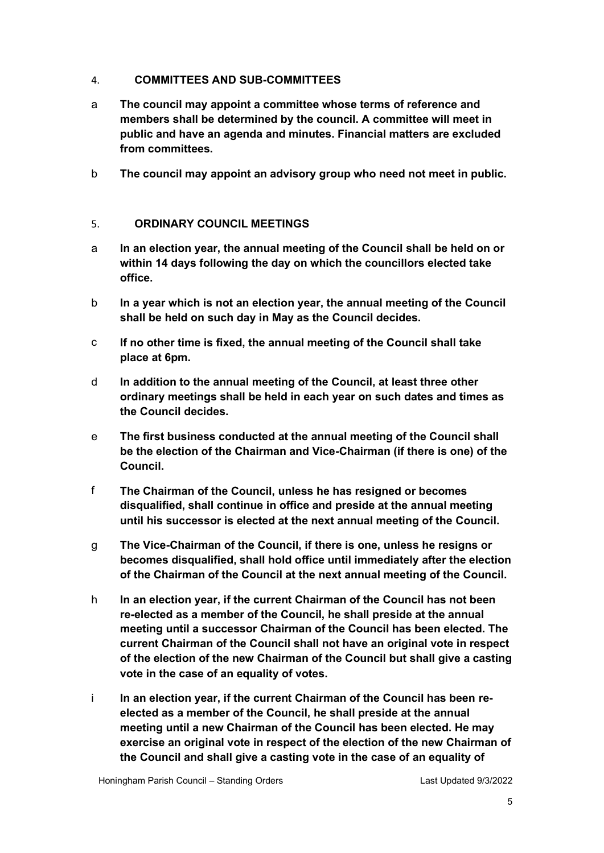#### 4. **COMMITTEES AND SUB-COMMITTEES**

- a **The council may appoint a committee whose terms of reference and members shall be determined by the council. A committee will meet in public and have an agenda and minutes. Financial matters are excluded from committees.**
- b **The council may appoint an advisory group who need not meet in public.**

## 5. **ORDINARY COUNCIL MEETINGS**

- a **In an election year, the annual meeting of the Council shall be held on or within 14 days following the day on which the councillors elected take office.**
- b **In a year which is not an election year, the annual meeting of the Council shall be held on such day in May as the Council decides.**
- c **If no other time is fixed, the annual meeting of the Council shall take place at 6pm.**
- d **In addition to the annual meeting of the Council, at least three other ordinary meetings shall be held in each year on such dates and times as the Council decides.**
- e **The first business conducted at the annual meeting of the Council shall be the election of the Chairman and Vice-Chairman (if there is one) of the Council.**
- f **The Chairman of the Council, unless he has resigned or becomes disqualified, shall continue in office and preside at the annual meeting until his successor is elected at the next annual meeting of the Council.**
- g **The Vice-Chairman of the Council, if there is one, unless he resigns or becomes disqualified, shall hold office until immediately after the election of the Chairman of the Council at the next annual meeting of the Council.**
- h **In an election year, if the current Chairman of the Council has not been re-elected as a member of the Council, he shall preside at the annual meeting until a successor Chairman of the Council has been elected. The current Chairman of the Council shall not have an original vote in respect of the election of the new Chairman of the Council but shall give a casting vote in the case of an equality of votes.**
- i **In an election year, if the current Chairman of the Council has been reelected as a member of the Council, he shall preside at the annual meeting until a new Chairman of the Council has been elected. He may exercise an original vote in respect of the election of the new Chairman of the Council and shall give a casting vote in the case of an equality of**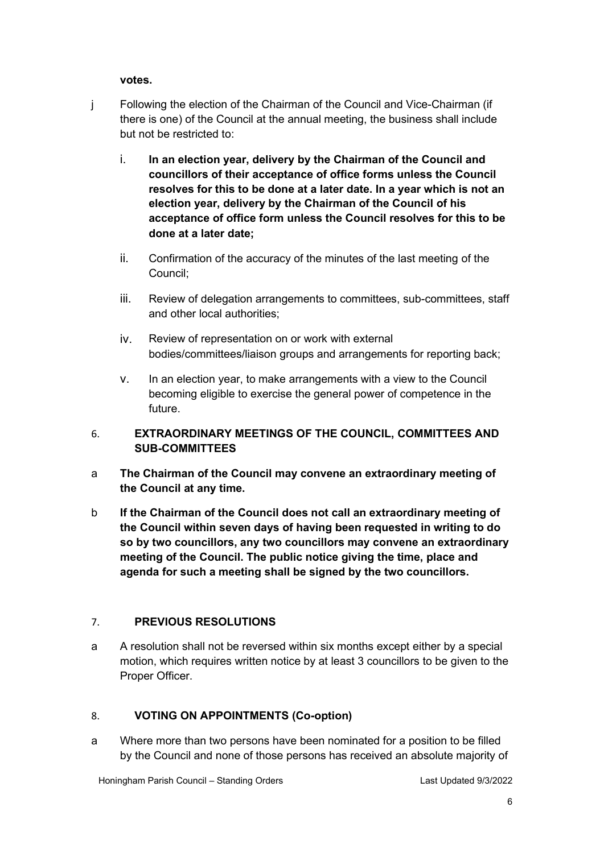**votes.**

- j Following the election of the Chairman of the Council and Vice-Chairman (if there is one) of the Council at the annual meeting, the business shall include but not be restricted to:
	- i. **In an election year, delivery by the Chairman of the Council and councillors of their acceptance of office forms unless the Council resolves for this to be done at a later date. In a year which is not an election year, delivery by the Chairman of the Council of his acceptance of office form unless the Council resolves for this to be done at a later date;**
	- ii. Confirmation of the accuracy of the minutes of the last meeting of the Council;
	- iii. Review of delegation arrangements to committees, sub-committees, staff and other local authorities;
	- iv. Review of representation on or work with external bodies/committees/liaison groups and arrangements for reporting back;
	- v. In an election year, to make arrangements with a view to the Council becoming eligible to exercise the general power of competence in the future.

## 6. **EXTRAORDINARY MEETINGS OF THE COUNCIL, COMMITTEES AND SUB-COMMITTEES**

- a **The Chairman of the Council may convene an extraordinary meeting of the Council at any time.**
- b **If the Chairman of the Council does not call an extraordinary meeting of the Council within seven days of having been requested in writing to do so by two councillors, any two councillors may convene an extraordinary meeting of the Council. The public notice giving the time, place and agenda for such a meeting shall be signed by the two councillors.**

## 7. **PREVIOUS RESOLUTIONS**

a A resolution shall not be reversed within six months except either by a special motion, which requires written notice by at least 3 councillors to be given to the Proper Officer.

## 8. **VOTING ON APPOINTMENTS (Co-option)**

a Where more than two persons have been nominated for a position to be filled by the Council and none of those persons has received an absolute majority of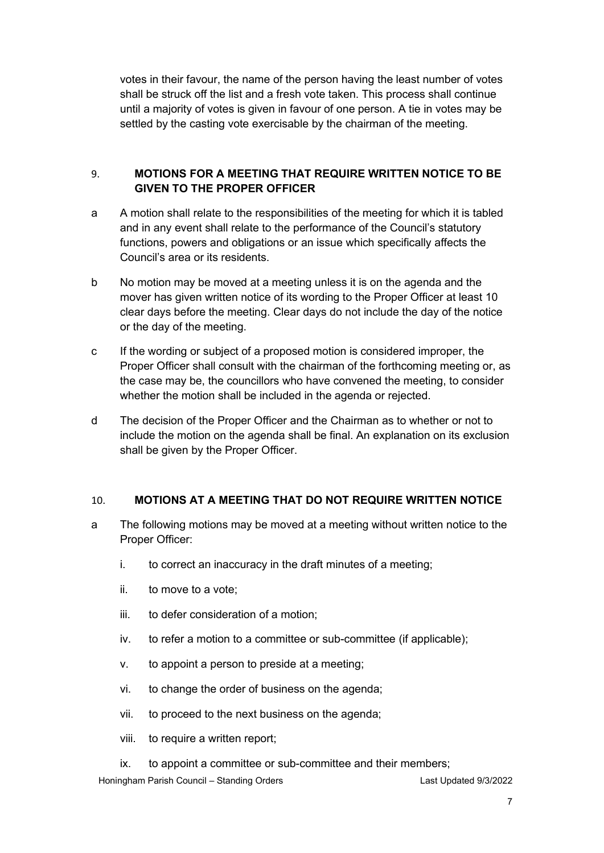votes in their favour, the name of the person having the least number of votes shall be struck off the list and a fresh vote taken. This process shall continue until a majority of votes is given in favour of one person. A tie in votes may be settled by the casting vote exercisable by the chairman of the meeting.

## 9. **MOTIONS FOR A MEETING THAT REQUIRE WRITTEN NOTICE TO BE GIVEN TO THE PROPER OFFICER**

- a A motion shall relate to the responsibilities of the meeting for which it is tabled and in any event shall relate to the performance of the Council's statutory functions, powers and obligations or an issue which specifically affects the Council's area or its residents.
- b No motion may be moved at a meeting unless it is on the agenda and the mover has given written notice of its wording to the Proper Officer at least 10 clear days before the meeting. Clear days do not include the day of the notice or the day of the meeting.
- c If the wording or subject of a proposed motion is considered improper, the Proper Officer shall consult with the chairman of the forthcoming meeting or, as the case may be, the councillors who have convened the meeting, to consider whether the motion shall be included in the agenda or rejected.
- d The decision of the Proper Officer and the Chairman as to whether or not to include the motion on the agenda shall be final. An explanation on its exclusion shall be given by the Proper Officer.

#### 10. **MOTIONS AT A MEETING THAT DO NOT REQUIRE WRITTEN NOTICE**

- a The following motions may be moved at a meeting without written notice to the Proper Officer:
	- i. to correct an inaccuracy in the draft minutes of a meeting;
	- ii. to move to a vote;
	- iii. to defer consideration of a motion;
	- iv. to refer a motion to a committee or sub-committee (if applicable);
	- v. to appoint a person to preside at a meeting;
	- vi. to change the order of business on the agenda;
	- vii. to proceed to the next business on the agenda;
	- viii. to require a written report;
	- ix. to appoint a committee or sub-committee and their members;

Honingham Parish Council – Standing Orders Last Last Updated 9/3/2022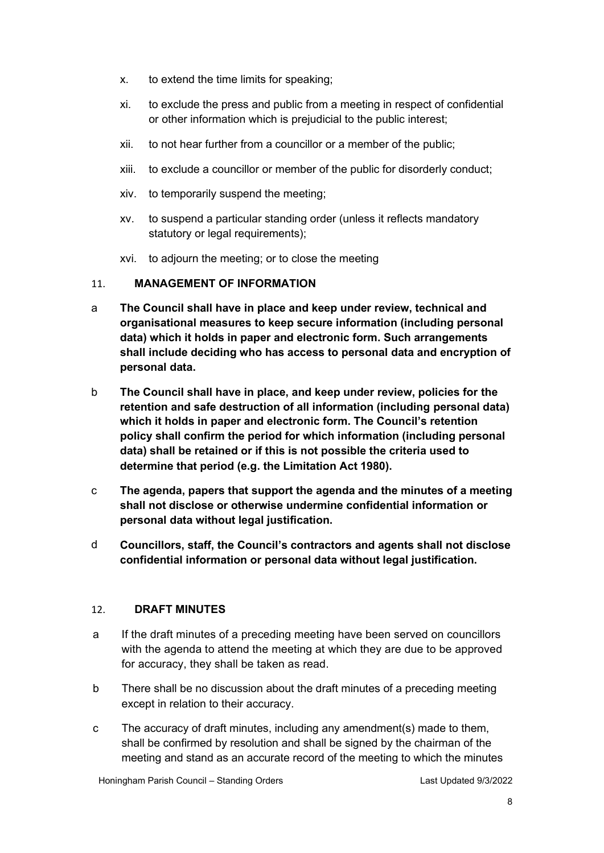- x. to extend the time limits for speaking;
- xi. to exclude the press and public from a meeting in respect of confidential or other information which is prejudicial to the public interest;
- xii. to not hear further from a councillor or a member of the public;
- xiii. to exclude a councillor or member of the public for disorderly conduct;
- xiv. to temporarily suspend the meeting;
- xv. to suspend a particular standing order (unless it reflects mandatory statutory or legal requirements);
- xvi. to adjourn the meeting; or to close the meeting

## 11. **MANAGEMENT OF INFORMATION**

- a **The Council shall have in place and keep under review, technical and organisational measures to keep secure information (including personal data) which it holds in paper and electronic form. Such arrangements shall include deciding who has access to personal data and encryption of personal data.**
- b **The Council shall have in place, and keep under review, policies for the retention and safe destruction of all information (including personal data) which it holds in paper and electronic form. The Council's retention policy shall confirm the period for which information (including personal data) shall be retained or if this is not possible the criteria used to determine that period (e.g. the Limitation Act 1980).**
- c **The agenda, papers that support the agenda and the minutes of a meeting shall not disclose or otherwise undermine confidential information or personal data without legal justification.**
- d **Councillors, staff, the Council's contractors and agents shall not disclose confidential information or personal data without legal justification.**

## 12. **DRAFT MINUTES**

- a If the draft minutes of a preceding meeting have been served on councillors with the agenda to attend the meeting at which they are due to be approved for accuracy, they shall be taken as read.
- b There shall be no discussion about the draft minutes of a preceding meeting except in relation to their accuracy.
- c The accuracy of draft minutes, including any amendment(s) made to them, shall be confirmed by resolution and shall be signed by the chairman of the meeting and stand as an accurate record of the meeting to which the minutes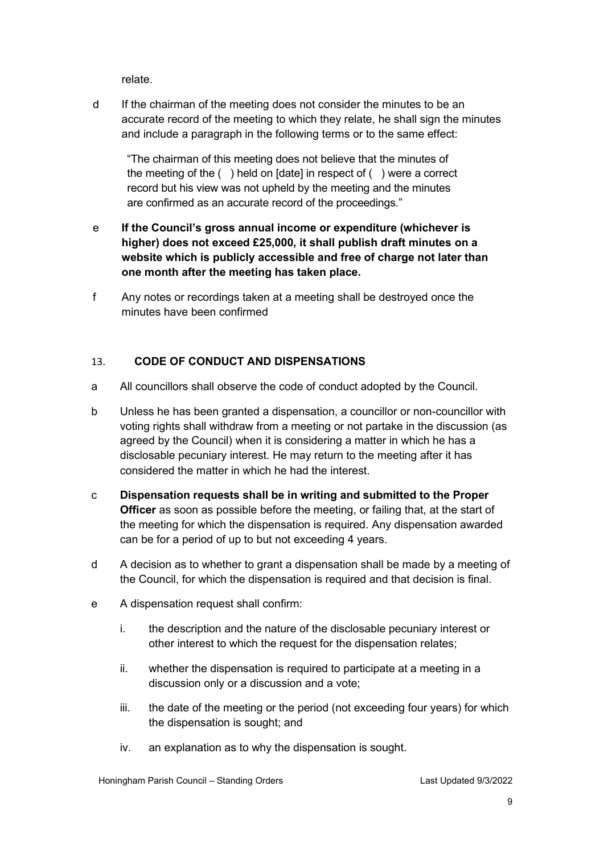relate.

d If the chairman of the meeting does not consider the minutes to be an accurate record of the meeting to which they relate, he shall sign the minutes and include a paragraph in the following terms or to the same effect:

"The chairman of this meeting does not believe that the minutes of the meeting of the ( ) held on [date] in respect of ( ) were a correct record but his view was not upheld by the meeting and the minutes are confirmed as an accurate record of the proceedings."

- e **If the Council's gross annual income or expenditure (whichever is higher) does not exceed £25,000, it shall publish draft minutes on a website which is publicly accessible and free of charge not later than one month after the meeting has taken place.**
- f Any notes or recordings taken at a meeting shall be destroyed once the minutes have been confirmed

# 13. **CODE OF CONDUCT AND DISPENSATIONS**

- a All councillors shall observe the code of conduct adopted by the Council.
- b Unless he has been granted a dispensation, a councillor or non-councillor with voting rights shall withdraw from a meeting or not partake in the discussion (as agreed by the Council) when it is considering a matter in which he has a disclosable pecuniary interest. He may return to the meeting after it has considered the matter in which he had the interest.
- c **Dispensation requests shall be in writing and submitted to the Proper Officer** as soon as possible before the meeting, or failing that, at the start of the meeting for which the dispensation is required. Any dispensation awarded can be for a period of up to but not exceeding 4 years.
- d A decision as to whether to grant a dispensation shall be made by a meeting of the Council, for which the dispensation is required and that decision is final.
- e A dispensation request shall confirm:
	- i. the description and the nature of the disclosable pecuniary interest or other interest to which the request for the dispensation relates;
	- ii. whether the dispensation is required to participate at a meeting in a discussion only or a discussion and a vote;
	- iii. the date of the meeting or the period (not exceeding four years) for which the dispensation is sought; and
	- iv. an explanation as to why the dispensation is sought.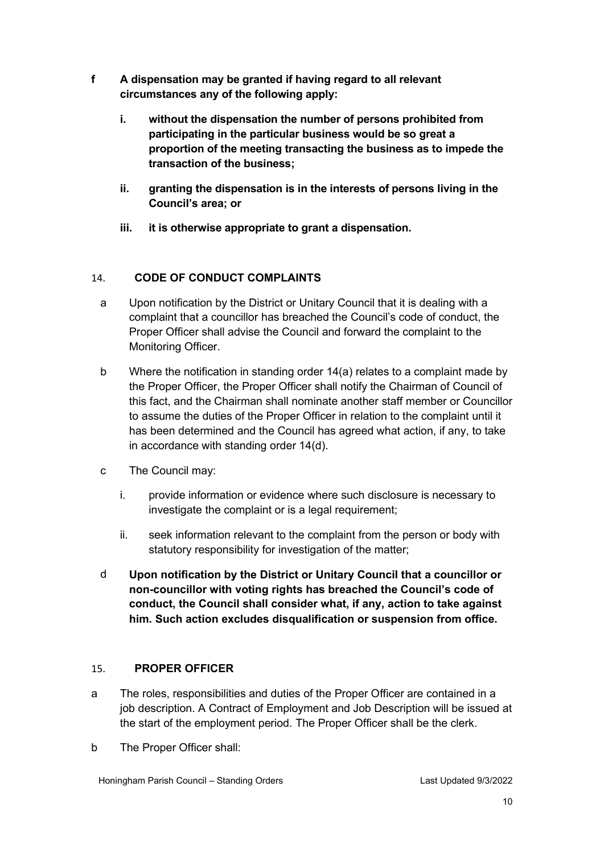- **f A dispensation may be granted if having regard to all relevant circumstances any of the following apply:**
	- **i. without the dispensation the number of persons prohibited from participating in the particular business would be so great a proportion of the meeting transacting the business as to impede the transaction of the business;**
	- **ii. granting the dispensation is in the interests of persons living in the Council's area; or**
	- **iii. it is otherwise appropriate to grant a dispensation.**

# 14. **CODE OF CONDUCT COMPLAINTS**

- a Upon notification by the District or Unitary Council that it is dealing with a complaint that a councillor has breached the Council's code of conduct, the Proper Officer shall advise the Council and forward the complaint to the Monitoring Officer.
- b Where the notification in standing order 14(a) relates to a complaint made by the Proper Officer, the Proper Officer shall notify the Chairman of Council of this fact, and the Chairman shall nominate another staff member or Councillor to assume the duties of the Proper Officer in relation to the complaint until it has been determined and the Council has agreed what action, if any, to take in accordance with standing order 14(d).
- c The Council may:
	- i. provide information or evidence where such disclosure is necessary to investigate the complaint or is a legal requirement;
	- ii. seek information relevant to the complaint from the person or body with statutory responsibility for investigation of the matter;
- d **Upon notification by the District or Unitary Council that a councillor or non-councillor with voting rights has breached the Council's code of conduct, the Council shall consider what, if any, action to take against him. Such action excludes disqualification or suspension from office.**

## 15. **PROPER OFFICER**

- a The roles, responsibilities and duties of the Proper Officer are contained in a job description. A Contract of Employment and Job Description will be issued at the start of the employment period. The Proper Officer shall be the clerk.
- b The Proper Officer shall: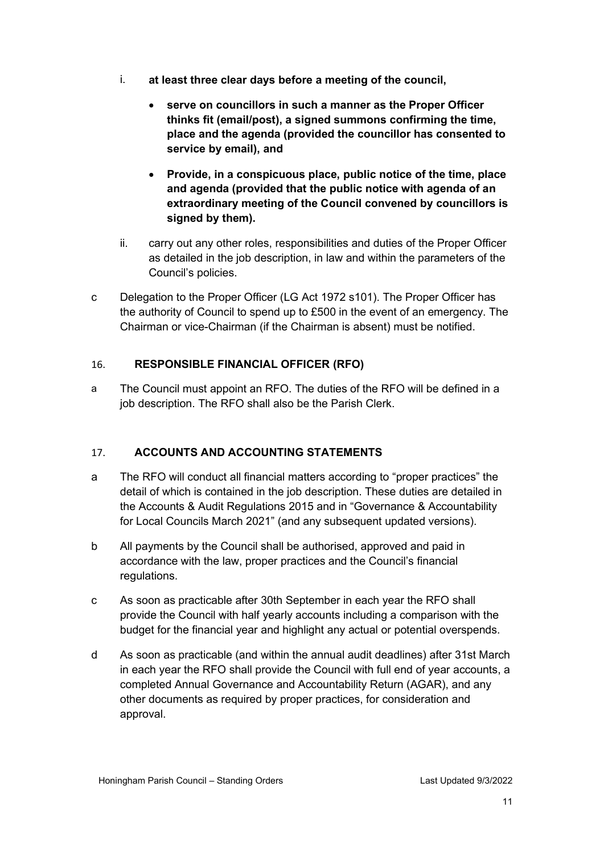- i. **at least three clear days before a meeting of the council,** 
	- **serve on councillors in such a manner as the Proper Officer thinks fit (email/post), a signed summons confirming the time, place and the agenda (provided the councillor has consented to service by email), and**
	- **Provide, in a conspicuous place, public notice of the time, place and agenda (provided that the public notice with agenda of an extraordinary meeting of the Council convened by councillors is signed by them).**
- ii. carry out any other roles, responsibilities and duties of the Proper Officer as detailed in the job description, in law and within the parameters of the Council's policies.
- c Delegation to the Proper Officer (LG Act 1972 s101). The Proper Officer has the authority of Council to spend up to £500 in the event of an emergency. The Chairman or vice-Chairman (if the Chairman is absent) must be notified.

## 16. **RESPONSIBLE FINANCIAL OFFICER (RFO)**

a The Council must appoint an RFO. The duties of the RFO will be defined in a job description. The RFO shall also be the Parish Clerk.

## 17. **ACCOUNTS AND ACCOUNTING STATEMENTS**

- a The RFO will conduct all financial matters according to "proper practices" the detail of which is contained in the job description. These duties are detailed in the Accounts & Audit Regulations 2015 and in "Governance & Accountability for Local Councils March 2021" (and any subsequent updated versions).
- b All payments by the Council shall be authorised, approved and paid in accordance with the law, proper practices and the Council's financial regulations.
- c As soon as practicable after 30th September in each year the RFO shall provide the Council with half yearly accounts including a comparison with the budget for the financial year and highlight any actual or potential overspends.
- d As soon as practicable (and within the annual audit deadlines) after 31st March in each year the RFO shall provide the Council with full end of year accounts, a completed Annual Governance and Accountability Return (AGAR), and any other documents as required by proper practices, for consideration and approval.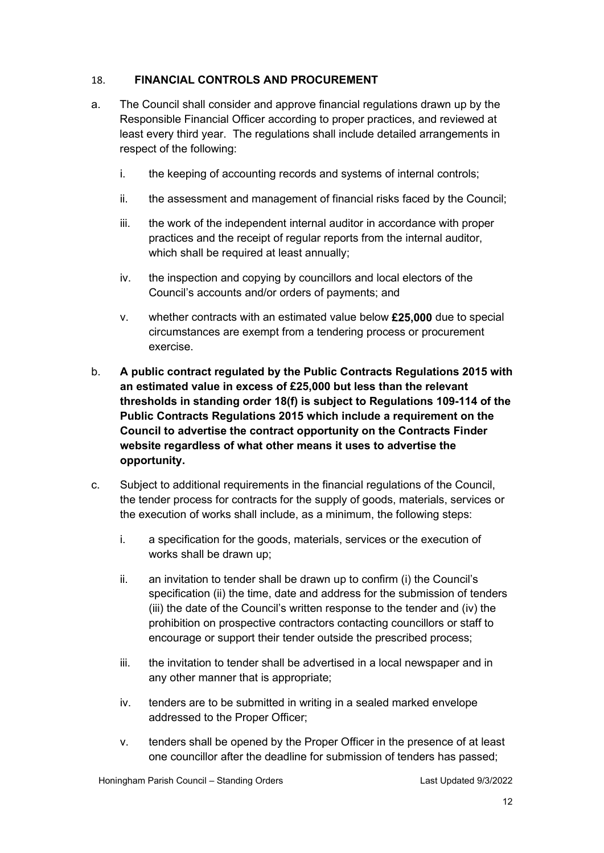### 18. **FINANCIAL CONTROLS AND PROCUREMENT**

- a. The Council shall consider and approve financial regulations drawn up by the Responsible Financial Officer according to proper practices, and reviewed at least every third year. The regulations shall include detailed arrangements in respect of the following:
	- i. the keeping of accounting records and systems of internal controls;
	- ii. the assessment and management of financial risks faced by the Council;
	- iii. the work of the independent internal auditor in accordance with proper practices and the receipt of regular reports from the internal auditor, which shall be required at least annually:
	- iv. the inspection and copying by councillors and local electors of the Council's accounts and/or orders of payments; and
	- v. whether contracts with an estimated value below **£25,000** due to special circumstances are exempt from a tendering process or procurement exercise.
- b. **A public contract regulated by the Public Contracts Regulations 2015 with an estimated value in excess of £25,000 but less than the relevant thresholds in standing order 18(f) is subject to Regulations 109-114 of the Public Contracts Regulations 2015 which include a requirement on the Council to advertise the contract opportunity on the Contracts Finder website regardless of what other means it uses to advertise the opportunity.**
- c. Subject to additional requirements in the financial regulations of the Council, the tender process for contracts for the supply of goods, materials, services or the execution of works shall include, as a minimum, the following steps:
	- i. a specification for the goods, materials, services or the execution of works shall be drawn up;
	- ii. an invitation to tender shall be drawn up to confirm (i) the Council's specification (ii) the time, date and address for the submission of tenders (iii) the date of the Council's written response to the tender and (iv) the prohibition on prospective contractors contacting councillors or staff to encourage or support their tender outside the prescribed process;
	- iii. the invitation to tender shall be advertised in a local newspaper and in any other manner that is appropriate;
	- iv. tenders are to be submitted in writing in a sealed marked envelope addressed to the Proper Officer;
	- v. tenders shall be opened by the Proper Officer in the presence of at least one councillor after the deadline for submission of tenders has passed;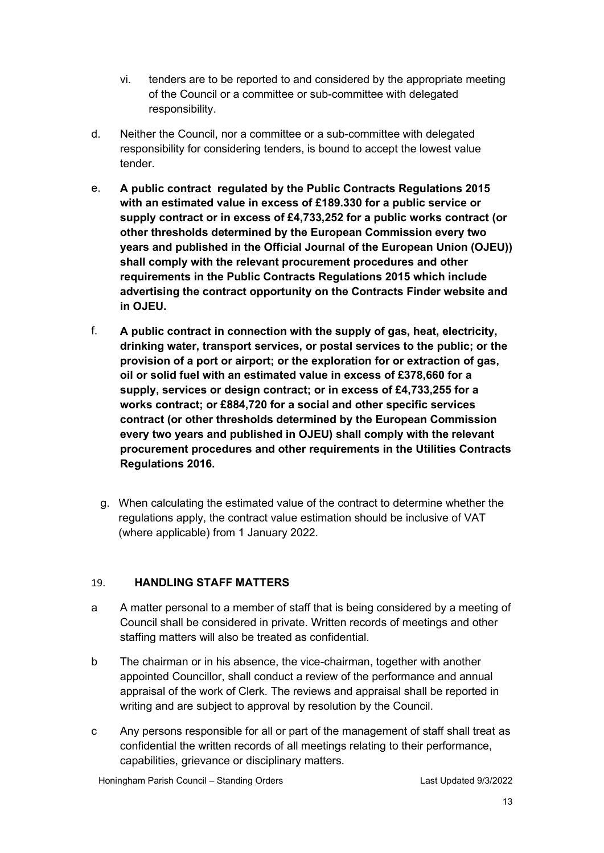- vi. tenders are to be reported to and considered by the appropriate meeting of the Council or a committee or sub-committee with delegated responsibility.
- d. Neither the Council, nor a committee or a sub-committee with delegated responsibility for considering tenders, is bound to accept the lowest value tender.
- e. **A public contract regulated by the Public Contracts Regulations 2015 with an estimated value in excess of £189.330 for a public service or supply contract or in excess of £4,733,252 for a public works contract (or other thresholds determined by the European Commission every two years and published in the Official Journal of the European Union (OJEU)) shall comply with the relevant procurement procedures and other requirements in the Public Contracts Regulations 2015 which include advertising the contract opportunity on the Contracts Finder website and in OJEU.**
- f. **A public contract in connection with the supply of gas, heat, electricity, drinking water, transport services, or postal services to the public; or the provision of a port or airport; or the exploration for or extraction of gas, oil or solid fuel with an estimated value in excess of £378,660 for a supply, services or design contract; or in excess of £4,733,255 for a works contract; or £884,720 for a social and other specific services contract (or other thresholds determined by the European Commission every two years and published in OJEU) shall comply with the relevant procurement procedures and other requirements in the Utilities Contracts Regulations 2016.**
	- g. When calculating the estimated value of the contract to determine whether the regulations apply, the contract value estimation should be inclusive of VAT (where applicable) from 1 January 2022.

## 19. **HANDLING STAFF MATTERS**

- a A matter personal to a member of staff that is being considered by a meeting of Council shall be considered in private. Written records of meetings and other staffing matters will also be treated as confidential.
- b The chairman or in his absence, the vice-chairman, together with another appointed Councillor, shall conduct a review of the performance and annual appraisal of the work of Clerk. The reviews and appraisal shall be reported in writing and are subject to approval by resolution by the Council.
- c Any persons responsible for all or part of the management of staff shall treat as confidential the written records of all meetings relating to their performance, capabilities, grievance or disciplinary matters.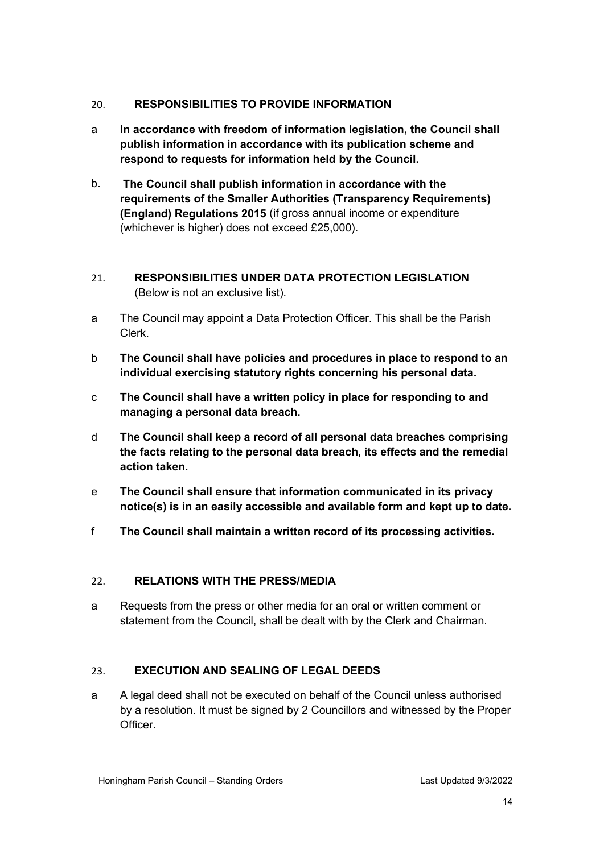## 20. **RESPONSIBILITIES TO PROVIDE INFORMATION**

- a **In accordance with freedom of information legislation, the Council shall publish information in accordance with its publication scheme and respond to requests for information held by the Council.**
- b. **The Council shall publish information in accordance with the requirements of the Smaller Authorities (Transparency Requirements) (England) Regulations 2015** (if gross annual income or expenditure (whichever is higher) does not exceed £25,000).
- 21. **RESPONSIBILITIES UNDER DATA PROTECTION LEGISLATION**  (Below is not an exclusive list).
- a The Council may appoint a Data Protection Officer. This shall be the Parish Clerk.
- b **The Council shall have policies and procedures in place to respond to an individual exercising statutory rights concerning his personal data.**
- c **The Council shall have a written policy in place for responding to and managing a personal data breach.**
- d **The Council shall keep a record of all personal data breaches comprising the facts relating to the personal data breach, its effects and the remedial action taken.**
- e **The Council shall ensure that information communicated in its privacy notice(s) is in an easily accessible and available form and kept up to date.**
- f **The Council shall maintain a written record of its processing activities.**

#### 22. **RELATIONS WITH THE PRESS/MEDIA**

a Requests from the press or other media for an oral or written comment or statement from the Council, shall be dealt with by the Clerk and Chairman.

## 23. **EXECUTION AND SEALING OF LEGAL DEEDS**

a A legal deed shall not be executed on behalf of the Council unless authorised by a resolution. It must be signed by 2 Councillors and witnessed by the Proper Officer.